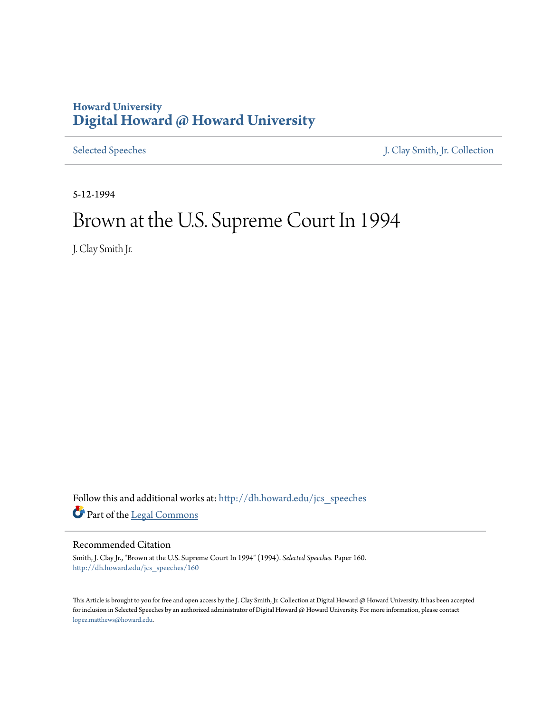# **Howard University [Digital Howard @ Howard University](http://dh.howard.edu?utm_source=dh.howard.edu%2Fjcs_speeches%2F160&utm_medium=PDF&utm_campaign=PDFCoverPages)**

[Selected Speeches](http://dh.howard.edu/jcs_speeches?utm_source=dh.howard.edu%2Fjcs_speeches%2F160&utm_medium=PDF&utm_campaign=PDFCoverPages) [J. Clay Smith, Jr. Collection](http://dh.howard.edu/jcsmith?utm_source=dh.howard.edu%2Fjcs_speeches%2F160&utm_medium=PDF&utm_campaign=PDFCoverPages)

5-12-1994

# Brown at the U.S. Supreme Court In 1994

J. Clay Smith Jr.

Follow this and additional works at: [http://dh.howard.edu/jcs\\_speeches](http://dh.howard.edu/jcs_speeches?utm_source=dh.howard.edu%2Fjcs_speeches%2F160&utm_medium=PDF&utm_campaign=PDFCoverPages) Part of the [Legal Commons](http://network.bepress.com/hgg/discipline/502?utm_source=dh.howard.edu%2Fjcs_speeches%2F160&utm_medium=PDF&utm_campaign=PDFCoverPages)

# Recommended Citation

Smith, J. Clay Jr., "Brown at the U.S. Supreme Court In 1994" (1994). *Selected Speeches.* Paper 160. [http://dh.howard.edu/jcs\\_speeches/160](http://dh.howard.edu/jcs_speeches/160?utm_source=dh.howard.edu%2Fjcs_speeches%2F160&utm_medium=PDF&utm_campaign=PDFCoverPages)

This Article is brought to you for free and open access by the J. Clay Smith, Jr. Collection at Digital Howard @ Howard University. It has been accepted for inclusion in Selected Speeches by an authorized administrator of Digital Howard @ Howard University. For more information, please contact [lopez.matthews@howard.edu.](mailto:lopez.matthews@howard.edu)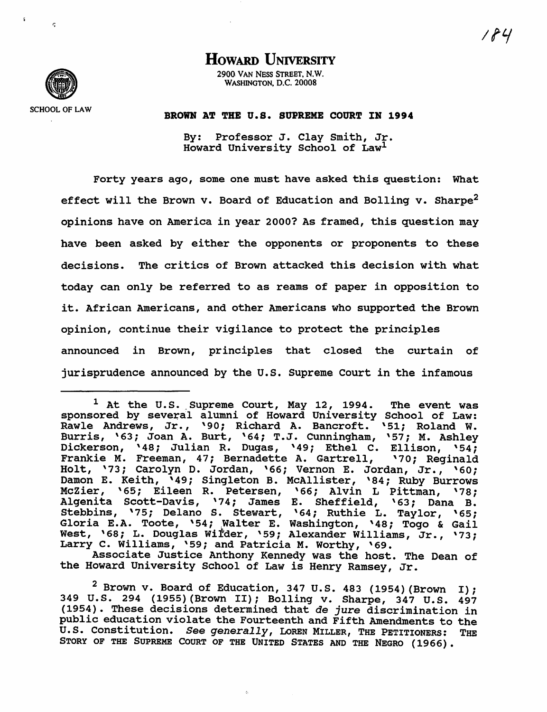# HOWARD UNIVERSITY

290.0. VAN NESS STREET. N.W. WASHINGTON. D.C. 20008

**SCHOOL OF LAW** 

 $\sigma$ 

## BROWN AT THE U.S. SUPREME COURT IN 1994

By: Professor J. Clay Smith, Jr. Howard University School of Law<sup>1</sup>

Forty years ago, some one must have asked this question: What effect will the Brown v. Board of Education and Bolling v. Sharpe<sup>2</sup> opinions have on America in year 2000? As framed, this question may have been asked by either the opponents or proponents to these decisions. The critics of Brown attacked this decision with what today can only be referred to as reams of paper in opposition to it. African Americans, and other Americans who supported the Brown opinion, continue their vigilance to protect the principles announced in Brown, principles that closed the curtain of jurisprudence announced by the U.S. Supreme Court in the infamous

Associate Justice Anthony Kennedy was the host. The Dean of the Howard University School of Law is Henry Ramsey, Jr.

 $1$  At the U.S. Supreme Court, May 12, 1994. The event was sponsored by several alumni of Howard University School of Law: Rawle Andrews, Jr., '90; Richard A. Bancroft. '51; Roland W. Burris, '63; Joan A. Burt, '64; T.J. Cunningham, '57; M. Ashley Dickerson, '48; Julian R. Dugas, '49; Ethel C. Ellison, '54;<br>Frankie M. Freeman, 47; Bernadette A. Gartrell, '70; Reginald Frankie M. Freeman, 47; Bernadette A. Gartrell, Holt, '73; Carolyn D. Jordan, '66; Vernon E. Jordan, Jr., '60; Damon E. Keith, '49; Singleton B. MCAllister, '84; Ruby Burrows McZier, '65; Eileen R. Petersen, '66; Alvin L Pittman, '78; Algenita scott-Davis, '74; James E. Sheffield, '63; Dana B. Stebbins, '75; Delano S. Stewart, '64; Ruthie L. Taylor, '65; Gloria E.A. Toote, '54; Walter E. Washington, '48; Togo & Gail West, '68; L. Douglas Wilder, '59; Alexander Williams, Jr., '73; Larry C. Williams, '59; and Patricia M. Worthy, '69.

 $^2$  Brown v. Board of Education, 347 U.S. 483 (1954) (Brown I); 349 U.S. 294 (1955) (Brown II); Bolling v. Sharpe, 347 U.S. 497 (1954). These decisions determined that de *jure* discrimination in public education violate the Fourteenth and Fifth Amendments to the U.S. Constitution. *See generally,* LoREN MILLER, THE PETITIONERS: THE STORY OF THE SUPREME COURT OF THE UNITED STATES AND THE NEGRO (1966).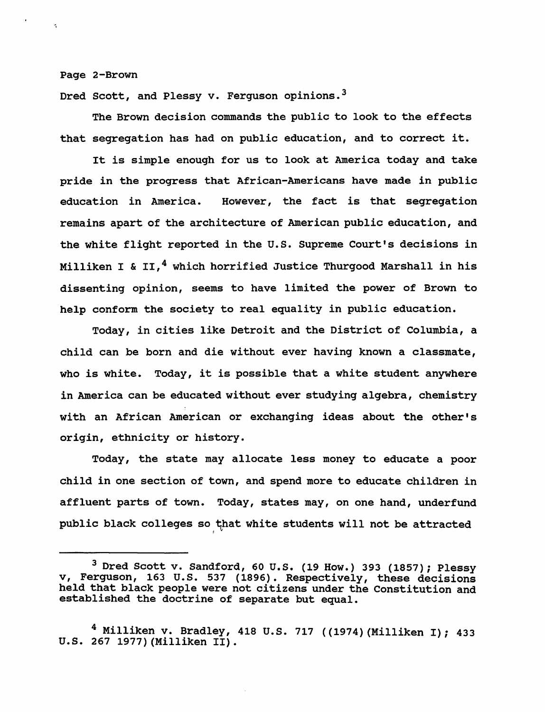Page 2-Brown

Dred Scott, and Plessy v. Ferguson opinions.<sup>3</sup>

The Brown decision commands the public to look to the effects that segregation has had on public education, and to correct it.

It is simple enough for us to look at America today and take pride in the progress that African-Americans have made in public education in America. However, the fact is that segregation remains apart of the architecture of American public education, and the white flight reported in the U.S. Supreme Court's decisions in Milliken I & II, $^4$  which horrified Justice Thurgood Marshall in his dissenting opinion, seems to have limited the power of Brown to help conform the society to real equality in public education.

Today, in cities like Detroit and the District of Columbia, a child can be born and die without ever having known a classmate, who is white. Today, it is possible that a white student anywhere in America can be educated without ever studying algebra, chemistry with an African American or exchanging ideas about the other's origin, ethnicity or history.

Today, the state may allocate less money to educate a poor child in one section of town, and spend more to educate children in affluent parts of town. Today, states may, on one hand, underfund public black colleges so that white students will not be attracted

<sup>3</sup> Dred Scott v. Sandford, 60 U.S. (19 How.) 393 (1857); Plessy v, Ferguson, 163 U.S. 537 (1896). Respectively, these decisions held that black people were not citizens under the Constitution and established the doctrine of separate but equal.

<sup>&</sup>lt;sup>4</sup> Milliken v. Bradley, 418 U.S. 717 ((1974) (Milliken I); 433 U.S. 267 1977) (Milliken II).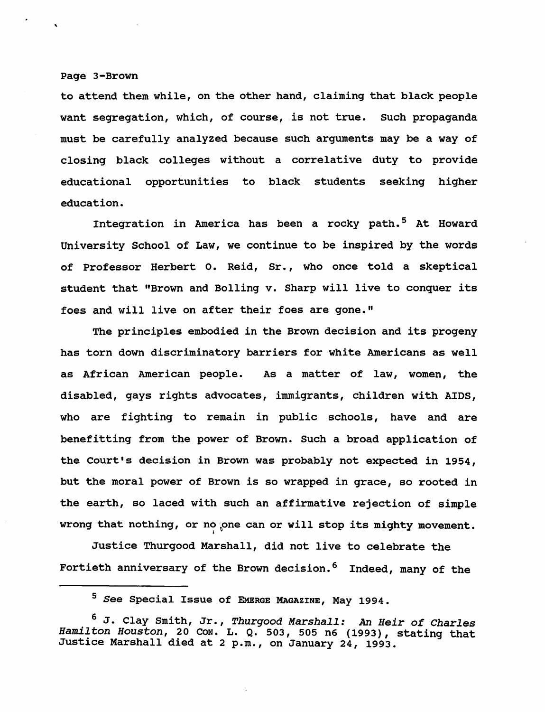#### Page 3-Brown

to attend them while, on the other hand, claiming that black people want segregation, which, of course, is not true. Such propaganda must be carefully analyzed because such arguments may be a way of closing black colleges without a correlative duty to provide educational opportunities to black students seeking higher education.

Integration in America has been a rocky path. 5 At Howard University School of Law, we continue to be inspired by the words of Professor Herbert o. Reid, Sr., who once told a skeptical student that "Brown and Bolling v. Sharp will live to conquer its foes and will live on after their foes are gone."

The principles embodied in the Brown decision and its progeny has torn down discriminatory barriers for white Americans as well as African American people. As a matter of law, women, the disabled, gays rights advocates, immigrants, children with AIDS, who are fighting to remain in public schools, have and are benefitting from the power of Brown. Such a broad application of the Court's decision in Brown was probably not expected in 1954, but the moral power of Brown is so wrapped in grace, so rooted in the earth, so laced with such an affirmative rejection of simple wrong that nothing, or no one can or will stop its mighty movement.

Justice Thurgood Marshall, did not live to celebrate the Fortieth anniversary of the Brown decision.<sup>6</sup> Indeed, many of the

<sup>5</sup>*See* Special Issue of EMERGE MAGAZINE, May 1994.

<sup>6</sup> J. Clay smith, Jr., *Thurgood Marshall: An Heir of Charles* Hamilton *Houston*, 20 Con. L. Q. 503, 505 n6 (1993), stating that Justice Marshall died at 2 p.m., on January 24, 1993.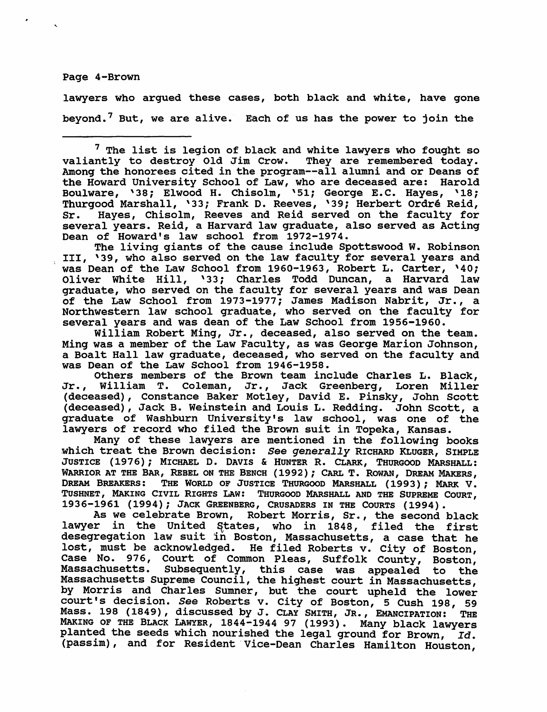Page 4-Brown

lawyers who argued these cases, both black and white, have gone beyond. 7 But, we are alive. Each of us has the power to join the

 $7$  The list is legion of black and white lawyers who fought so valiantly to destroy Old Jim Crow. They are remembered today. Among the honorees cited in the program--all alumni and or Deans of the Howard university School of Law, who are deceased are: Harold Boulware, '38; Elwood H. Chisolm, '51; George E.C. Hayes, '18; Thurgood Marshall, '33; Frank D. Reeves, '39; Herbert Ordre Reid, Sr. Hayes, Chisolm, Reeves and Reid served on the faculty for several years. Reid, a Harvard law graduate, also served as Acting Dean of Howard's law school from 1972-1974.

The living giants of the cause include spottswood W. Robinson III, '39, who also served on the law faculty for several years and was Dean of the Law School from 1960-1963, Robert L. Carter, '40; Oliver White Hill, '33; Charles Todd Duncan, a Harvard law graduate, who served on the faculty for several years and was Dean of the Law School from 1973-1977; James Madison Nabrit, Jr., a Northwestern law school graduate, who served on the faculty for several years and was dean of the Law School from 1956-1960.

William Robert Ming, Jr., deceased, also served on the team. Ming was a member of the Law Faculty, as was George Marion Johnson, a Boalt Hall law graduate, deceased, who served on the faculty and was Dean of the Law School from 1946-1958.

Others members of the Brown team include Charles L. Black, Jr., William T. Coleman, Jr., Jack Greenberg, Loren Miller (deceased), Constance Baker Motley, David E. Pinsky, John Scott (deceased), Jack B. Weinstein and Louis L. Redding. John scott, a graduate of Washburn University's law school, was one of the lawyers of record who filed the Brown suit in Topeka, Kansas.

Many of these lawyers are mentioned in the following books which treat the Brown decision: *See generally* RICHARD KLUGER, SIMPLE JUSTICE (1976); MICHAEL D. DAVIS & HUNTER R. CLARK, THURGOOD MARSHALL: WARRIOR AT THE BAR, REBEL ON THE BENCH (1992); CARL T. ROWAN, DREAM MAKERS, DREAM BREAKERS: THE WORLD OF JUSTICE THURGOOD MARSHALL (1993); MARK V. TUSHNET, MAKING CIVIL RIGHTS LAw: THURGOOD MARSHALL AND THE SUPREME COURT, 1936-1961 (1994); JACK GREENBERG, CRUSADERS IN THE COURTS (1994).

As we celebrate Brown, Robert Morris, Sr., the second black lawyer in the United States, who in 1848, filed the first desegregation law suit in Boston, Massachusetts, a case that he lost, must be acknowledged. He filed Roberts v. City of Boston, Case No. 976, Court of Common Pleas, Suffolk County, Boston, Massachusetts. Subsequently, this case was appealed to the Massachusetts Supreme Council, the highest court in Massachusetts, by Morris and Charles Sumner, but the court upheld the lower court's decision. *See* Roberts v. City of Boston, 5 Cush 198, 59 Mass. 198 (1849), discussed by J. CLAY SMITH, JR., EMANCIPATION: THE MAKING OF THE BLACK LAWYER, 1844-1944 97 (1993). Many black lawyers planted the seeds which nourished the legal ground for Brown, *Id.*  (passim), and for Resident Vice-Dean Charles Hamilton Houston,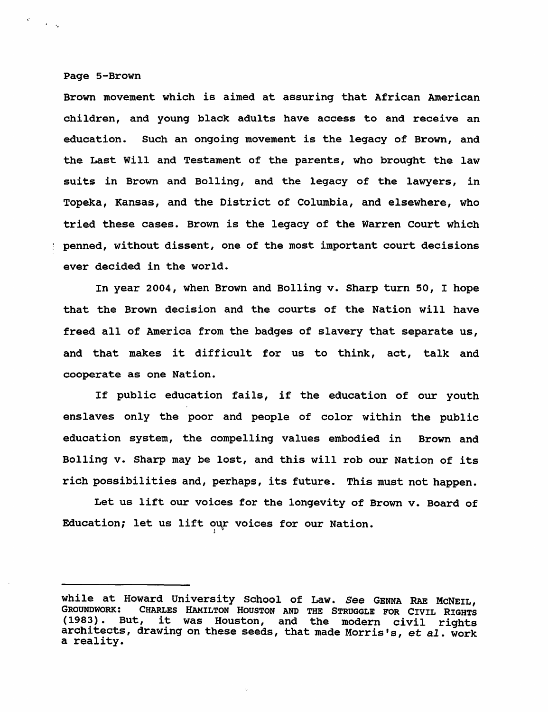#### Page 5-Brown

'.

Brown movement which is aimed at assuring that African American children, and young black adults have access to and receive an education. Such an ongoing movement is the legacy of Brown, and the Last Will and Testament of the parents, who brought the law suits in Brown and Bolling, and the legacy of the lawyers, in Topeka, Kansas, and the District of Columbia, and elsewhere, who tried these cases. Brown is the legacy of the Warren Court which <sup>~</sup>penned, without dissent, one of the most important court decisions ever decided in the world.

In year 2004, when Brown and Bolling v. Sharp turn 50, I hope that the Brown decision and the courts of the Nation will have freed all of America from the badges of slavery that separate us, and that makes it difficult for us to think, act, talk and cooperate as one Nation.

If public education fails, if the education of our youth enslaves only the poor and people of color within the public education system, the compelling values embodied in Brown and Bolling v. Sharp may be lost, and this will rob our Nation of its rich possibilities and, perhaps, its future. This must not happen.

Let us lift our voices for the longevity of Brown v. Board of Education; let us lift our voices for our Nation.

while at Howard University school of Law. See GENNA RAE McNEIL, GROUNDWORK: CHARLES HAMILTON HOUSTON AND THE STRUGGLE FOR CIVIL RIGHTS (1983). But, it was Houston, and the modern civil rights architects, drawing on these seeds, that made Morris's, et al. work a reality.